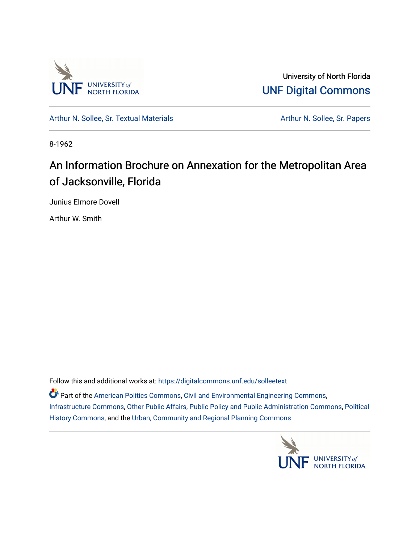

University of North Florida [UNF Digital Commons](https://digitalcommons.unf.edu/) 

[Arthur N. Sollee, Sr. Textual Materials](https://digitalcommons.unf.edu/solleetext) Arthur N. Sollee, Sr. Papers

8-1962

# An Information Brochure on Annexation for the Metropolitan Area of Jacksonville, Florida

Junius Elmore Dovell

Arthur W. Smith

Follow this and additional works at: [https://digitalcommons.unf.edu/solleetext](https://digitalcommons.unf.edu/solleetext?utm_source=digitalcommons.unf.edu%2Fsolleetext%2F6&utm_medium=PDF&utm_campaign=PDFCoverPages) 

Part of the [American Politics Commons,](http://network.bepress.com/hgg/discipline/387?utm_source=digitalcommons.unf.edu%2Fsolleetext%2F6&utm_medium=PDF&utm_campaign=PDFCoverPages) [Civil and Environmental Engineering Commons](http://network.bepress.com/hgg/discipline/251?utm_source=digitalcommons.unf.edu%2Fsolleetext%2F6&utm_medium=PDF&utm_campaign=PDFCoverPages), [Infrastructure Commons,](http://network.bepress.com/hgg/discipline/1066?utm_source=digitalcommons.unf.edu%2Fsolleetext%2F6&utm_medium=PDF&utm_campaign=PDFCoverPages) [Other Public Affairs, Public Policy and Public Administration Commons,](http://network.bepress.com/hgg/discipline/403?utm_source=digitalcommons.unf.edu%2Fsolleetext%2F6&utm_medium=PDF&utm_campaign=PDFCoverPages) [Political](http://network.bepress.com/hgg/discipline/505?utm_source=digitalcommons.unf.edu%2Fsolleetext%2F6&utm_medium=PDF&utm_campaign=PDFCoverPages)  [History Commons](http://network.bepress.com/hgg/discipline/505?utm_source=digitalcommons.unf.edu%2Fsolleetext%2F6&utm_medium=PDF&utm_campaign=PDFCoverPages), and the [Urban, Community and Regional Planning Commons](http://network.bepress.com/hgg/discipline/776?utm_source=digitalcommons.unf.edu%2Fsolleetext%2F6&utm_medium=PDF&utm_campaign=PDFCoverPages)

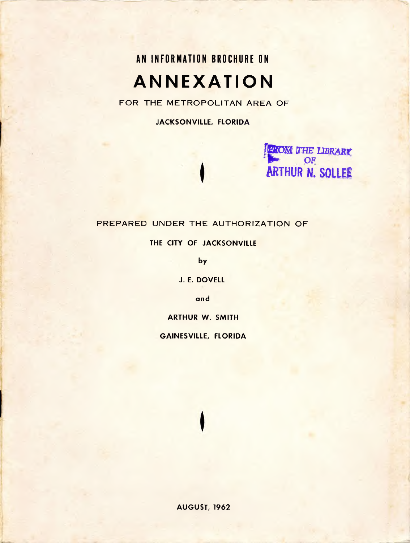# **AN INFORMATION BROCHURE ON ANNEXATION**

FOR THE METROPOLITAN AREA OF

**JACKSONVILLE, FLORIDA**



#### PREPARED UNDER THE AUTHORIZATION OF

**THE CITY OF JACKSONVILLE**

**by**

**J. E. DOVELL**

**and**

**ARTHUR W. SMITH**

**GAINESVILLE, FLORIDA**

**AUGUST, 1962**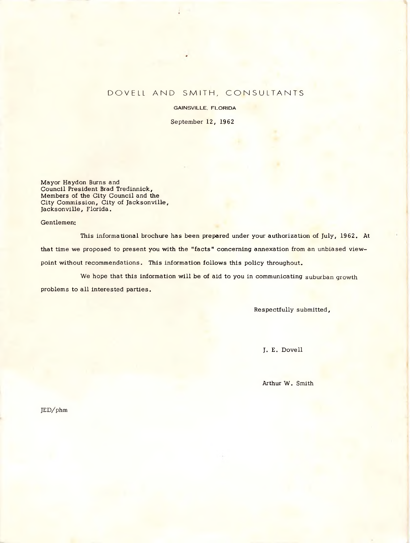#### DOVELL AND SMITH, CONSULTANTS

GAINSVILLE, FLORIDA

September 12, 1962

Mayor Haydon Burns and Council President Brad Tredinnick, Members of the City Council and the City Commission, City of Jacksonville, Jacksonville, Florida.

Gentlemen:

This informational brochure has been prepared under your authorization of July, 1962. At that time we proposed to present you with the "facts" concerning annexation from an unbiased viewpoint without recommendations. This information follows this policy throughout.

We hope that this information will be of aid to you in communicating suburban growth problems to all interested parties.

Respectfully submitted,

J. E. Dovell

Arthur W. Smith

JED/phm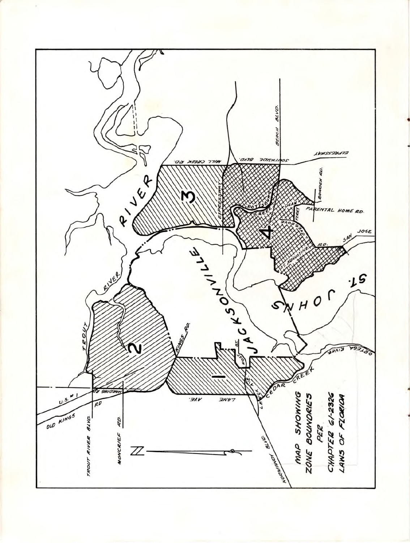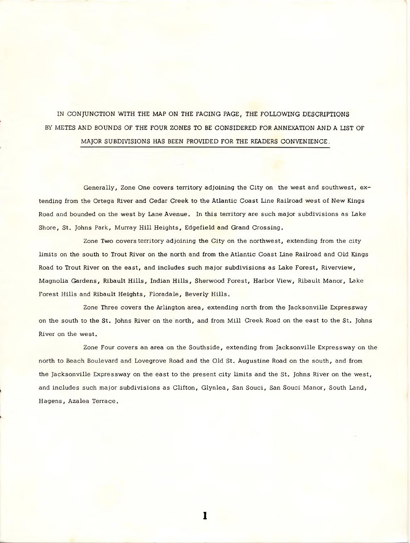IN CONJUNCTION WITH THE MAP ON THE FACING PAGE, THE FOLLOWING DESCRIPTIONS BY METES AND BOUNDS OF THE FOUR ZONES TO BE CONSIDERED FOR ANNEXATION AND A LIST OF MAJOR SUBDIVISIONS HAS BEEN PROVIDED FOR THE READERS CONVENIENCE.

Generally, Zone One covers territory adjoining the City on the west and southwest, extending from the Ortega River and Cedar Creek to the Atlantic Coast Line Railroad west of New Kings Road and bounded on the west by Lane Avenue. In this territory are such major subdivisions as Lake Shore, St. Johns Park, Murray Hill Heights, Edgefield and Grand Crossing.

Zone Two covers territory adjoining the City on the northwest, extending from the city limits on the south to Trout River on the north and from the Atlantic Coast Line Railroad and Old Kings Road to Trout River on the east, and includes such major subdivisions as Lake Forest, Riverview, Magnolia Gardens, Ribault Hills, Indian Hills, Sherwood Forest, Harbor View, Ribault Manor, Lake Forest Hills and Ribault Heights, Floradale, Beverly Hills.

Zone Three covers the Arlington area, extending north from the Jacksonville Expressway on the south to the St. Johns River on the north, and from Mill Creek Road on the east to the St. Johns River on the west.

Zone Four covers an area on the Southside, extending from Jacksonville Expressway on the north to Beach Boulevard and Lovegrove Road and the Old St. Augustine Road on the south, and from the Jacksonville Expressway on the east to the present city limits and the St. Johns River on the west, and includes such major subdivisions as Clifton, Glynlea, San Souci, San Souci Manor, South Land, Hagens, Azalea Terrace.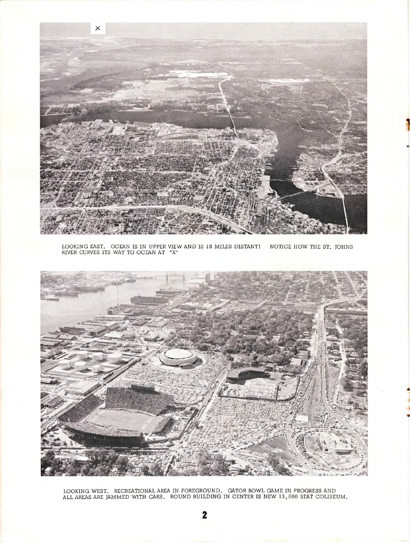

LOOKING EAST. OCEAN IS IN UPPER VIEW AND IS 18 MILES DISTANT! NOTICE HOW THE ST. JOHNS RIVER CURVES ITS WAY TO OCEAN AT "X"



LOOKING WEST. RECREATIONAL AREA IN FOREGROUND. GATOR BOWL GAME IN PROGRESS AND ALL AREAS ARE JAMMED WITH CARS. ROUND BUILDING IN CENTER IS NEW 13,000 SEAT COLISEUM.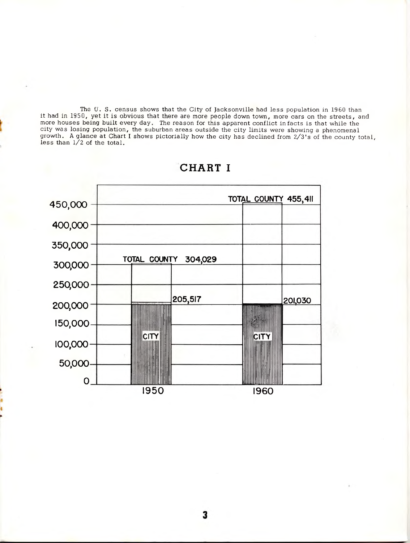The U. S. census shows that the City of Jacksonville had less population in <sup>19</sup> 60 than it had in 1950, yet it is obvious that there are more people down town, more cars on the streets, and more houses being built every day. The reason for this apparent conflict in facts is that while the city was losing population, the suburban areas outside the city limits were showing a phenomenal growth. A glance at Chart I shows pictorially how the city has declined from 2∕3's of the county total, less than  $1/2$  of the total.



## **CHART I**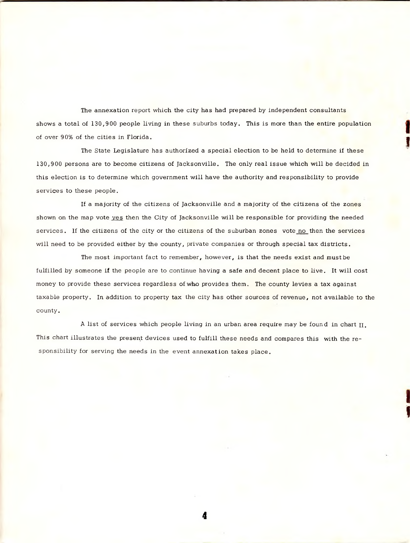The annexation report which the city has had prepared by independent consultants shows a total of 130,900 people living in these suburbs today. This is more than the entire population of over <sup>9</sup> 0% of the cities in Florida.

The State Legislature has authorized a special election to be held to determine if these 130,9 00 persons are to become citizens of Jacksonville. The only real issue which will be decided in this election is to determine which government will have the authority and responsibility to provide services to these people.

If a majority of the citizens of Jacksonville and a majority of the citizens of the zones shown on the map vote yes then the City of Jacksonville will be responsible for providing the needed services. If the citizens of the city or the citizens of the suburban zones vote no then the services will need to be provided either by the county, private companies or through special tax districts.

The most important fact to remember, however, is that the needs exist and must be fulfilled by someone if the people are to continue having a safe and decent place to live. It will cost money to provide these services regardless of who provides them. The county levies a tax against taxable property. In addition to property tax the city has other sources of revenue, not available to the county.

<sup>A</sup> list of services which people living in an urban area require may be found in chart II, This chart illustrates the present devices used to fulfill these needs and compares this with the responsibility for serving the needs in the event annexation takes place.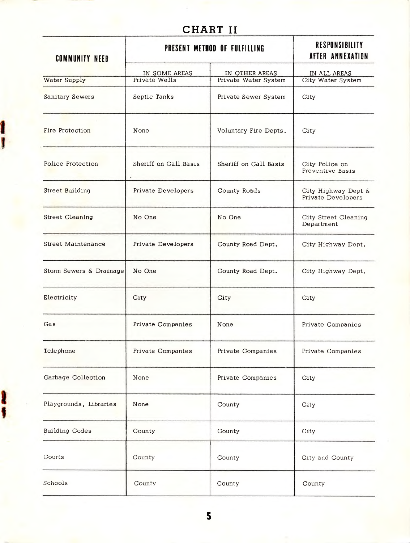# **CHART II**

| <b>COMMUNITY NEED</b>   | PRESENT METHOD OF FULFILLING   | <b>RESPONSIBILITY</b><br>AFTER ANNEXATION |                                           |
|-------------------------|--------------------------------|-------------------------------------------|-------------------------------------------|
| Water Supply            | IN SOME AREAS<br>Private Wells | IN OTHER AREAS<br>Private Water System    | IN ALL AREAS<br>City Water System         |
| Sanitary Sewers         | Septic Tanks                   | Private Sewer System                      | City                                      |
| Fire Protection         | None                           | Voluntary Fire Depts.                     | City                                      |
| Police Protection       | Sheriff on Call Basis          | Sheriff on Call Basis                     | City Police on<br>Preventive Basis        |
| Street Building         | Private Developers             | County Roads                              | City Highway Dept &<br>Private Developers |
| <b>Street Cleaning</b>  | No One                         | No One                                    | City Street Cleaning<br>Department        |
| Street Maintenance      | Private Developers             | County Road Dept.                         | City Highway Dept.                        |
| Storm Sewers & Drainage | No One                         | County Road Dept.                         | City Highway Dept.                        |
| Electricity             | City                           | City                                      | City                                      |
| Gas                     | Private Companies              | None                                      | Private Companies                         |
| Telephone               | Private Companies              | Private Companies                         | Private Companies                         |
| Garbage Collection      | None                           | Private Companies                         | City                                      |
| Playgrounds, Libraries  | None                           | County                                    | City                                      |
| <b>Building Codes</b>   | County                         | County                                    | City                                      |
| Courts                  | County                         | County                                    | City and County                           |
| Schools                 | County                         | County                                    | County                                    |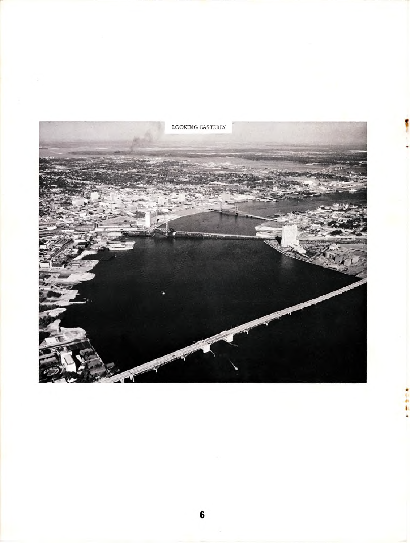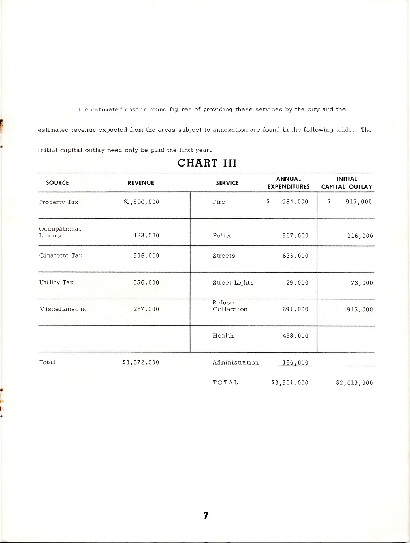The estimated cost in round figures of providing these services by the city and the estimated revenue expected from the areas subject to annexation are found in the following table. The initial capital outlay need only be paid the first year.

| <b>SOURCE</b>           | <b>REVENUE</b> | <b>SERVICE</b>        | <b>ANNUAL</b><br><b>EXPENDITURES</b> | <b>INITIAL</b><br>CAPITAL OUTLAY |
|-------------------------|----------------|-----------------------|--------------------------------------|----------------------------------|
| Property Tax            | \$1,500,000    | Fire                  | \$<br>934,000                        | \$.<br>915,000                   |
| Occupational<br>License | 133,000        | Police                | 967,000                              | 116,000                          |
| Cigarette Tax           | 916,000        | Streets               | 636,000                              |                                  |
| Utility Tax             | 556,000        | Street Lights         | 29,000                               | 73,000                           |
| Miscellaneous           | 267,000        | Refuse<br>Collect ion | 691,000                              | 915,000                          |
|                         |                | Health                | 458,000                              |                                  |
| Total                   | \$3,372,000    | Administration        | 186,000                              |                                  |
|                         |                | TOTAL                 | \$3,901,000                          | \$2,019,000                      |

## **CHART III**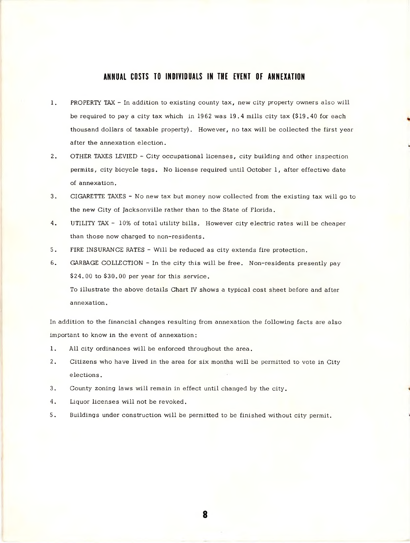#### ANNUAL COSTS TO INDIVIDUALS IN THE EVENT OF ANNEXATION

- 1. PROPERTY TAX In addition to existing county tax, new city property owners also will be required to pay a city tax which in 1962 was 19.4 mills city tax (\$19.40 for each thousand dollars of taxable property). However, no tax will be collected the first year after the annexation election.
- 2. OTHER TAXES LEVIED City occupational licenses, city building and other inspection permits, city bicycle tags. No license required until October 1, after effective date of annexation.
- 3. CIGARETTE TAXES No new tax but money now collected from the existing tax will go to the new City of Jacksonville rather than to the State of Florida.
- 4. UTILITY TAX 10% of total utility bills. However city electric rates will be cheaper than those now charged to non-residents.
- 5. FIRE INSURANCE RATES Will be reduced as city extends fire protection.
- 6. GARBAGE COLLECTION In the city this will be free. Non-residents presently pay \$24.00 to \$30.00 per year for this service.

To illustrate the above details Chart IV shows a typical cost sheet before and after annexation.

In addition to the financial changes resulting from annexation the following facts are also important to know in the event of annexation:

- 1. All city ordinances will be enforced throughout the area.
- 2. Citizens who have lived in the area for six months will be permitted to vote in City elections.
- 3. County zoning laws will remain in effect until changed by the city.
- 4. Liquor licenses will not be revoked.
- 5. Buildings under construction will be permitted to be finished without city permit.